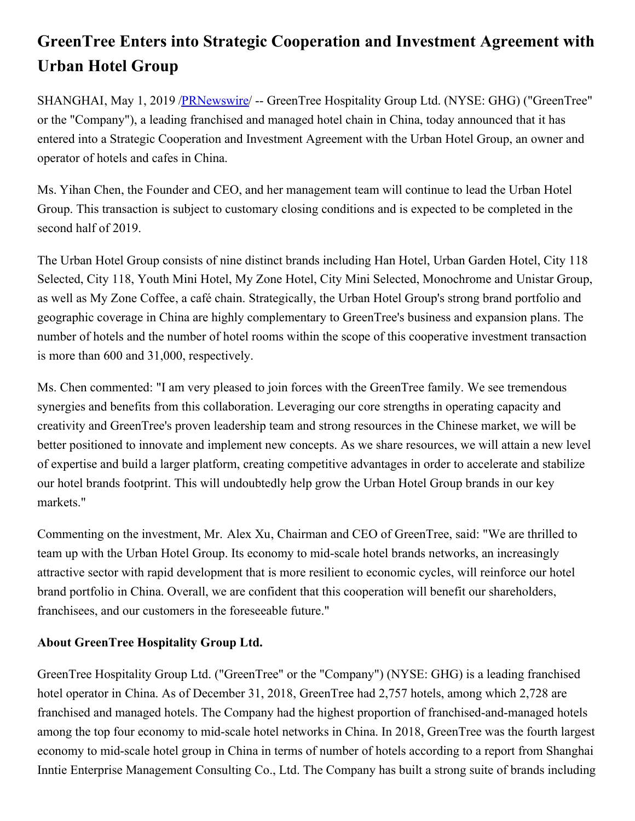# **GreenTree Enters into Strategic Cooperation and Investment Agreement with Urban Hotel Group**

SHANGHAI, May 1, 2019 /**PRNewswire/** -- GreenTree Hospitality Group Ltd. (NYSE: GHG) ("GreenTree" or the "Company"), a leading franchised and managed hotel chain in China, today announced that it has entered into a Strategic Cooperation and Investment Agreement with the Urban Hotel Group, an owner and operator of hotels and cafes in China.

Ms. Yihan Chen, the Founder and CEO, and her management team will continue to lead the Urban Hotel Group. This transaction is subject to customary closing conditions and is expected to be completed in the second half of 2019.

The Urban Hotel Group consists of nine distinct brands including Han Hotel, Urban Garden Hotel, City 118 Selected, City 118, Youth Mini Hotel, My Zone Hotel, City Mini Selected, Monochrome and Unistar Group, as well as My Zone Coffee, a café chain. Strategically, the Urban Hotel Group's strong brand portfolio and geographic coverage in China are highly complementary to GreenTree's business and expansion plans. The number of hotels and the number of hotel rooms within the scope of this cooperative investment transaction is more than 600 and 31,000, respectively.

Ms. Chen commented: "I am very pleased to join forces with the GreenTree family. We see tremendous synergies and benefits from this collaboration. Leveraging our core strengths in operating capacity and creativity and GreenTree's proven leadership team and strong resources in the Chinese market, we will be better positioned to innovate and implement new concepts. As we share resources, we will attain a new level of expertise and build a larger platform, creating competitive advantages in order to accelerate and stabilize our hotel brands footprint. This will undoubtedly help grow the Urban Hotel Group brands in our key markets."

Commenting on the investment, Mr. Alex Xu, Chairman and CEO of GreenTree, said: "We are thrilled to team up with the Urban Hotel Group. Its economy to mid-scale hotel brands networks, an increasingly attractive sector with rapid development that is more resilient to economic cycles, will reinforce our hotel brand portfolio in China. Overall, we are confident that this cooperation will benefit our shareholders, franchisees, and our customers in the foreseeable future."

## **About GreenTree Hospitality Group Ltd.**

GreenTree Hospitality Group Ltd. ("GreenTree" or the "Company") (NYSE: GHG) is a leading franchised hotel operator in China. As of December 31, 2018, GreenTree had 2,757 hotels, among which 2,728 are franchised and managed hotels. The Company had the highest proportion of franchised-and-managed hotels among the top four economy to mid-scale hotel networks in China. In 2018, GreenTree was the fourth largest economy to mid-scale hotel group in China in terms of number of hotels according to a report from Shanghai Inntie Enterprise Management Consulting Co., Ltd. The Company has built a strong suite of brands including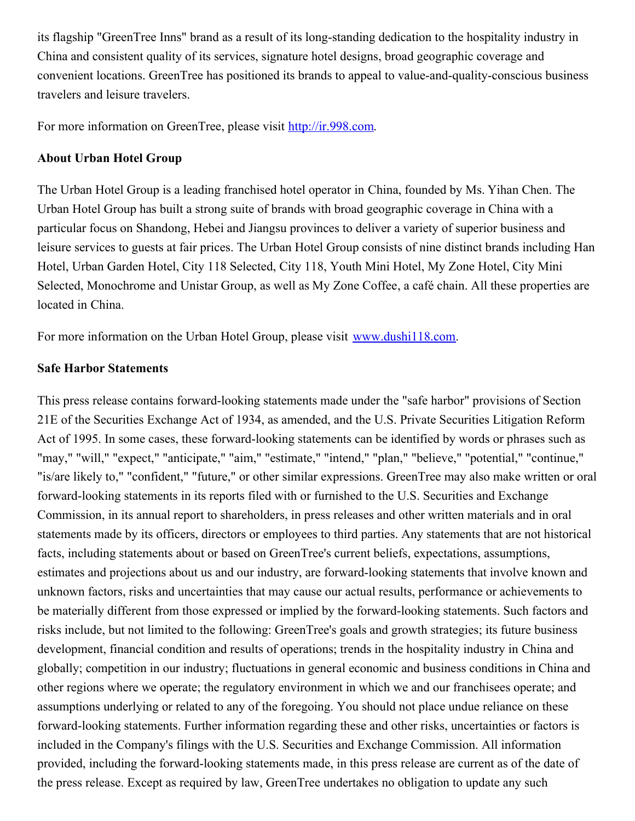its flagship "GreenTree Inns" brand as a result of its long-standing dedication to the hospitality industry in China and consistent quality of its services, signature hotel designs, broad geographic coverage and convenient locations. GreenTree has positioned its brands to appeal to value-and-quality-conscious business travelers and leisure travelers.

For more information on GreenTree, please visit [http://ir.998.com](http://ir.998.com/).

## **About Urban Hotel Group**

The Urban Hotel Group is a leading franchised hotel operator in China, founded by Ms. Yihan Chen. The Urban Hotel Group has built a strong suite of brands with broad geographic coverage in China with a particular focus on Shandong, Hebei and Jiangsu provinces to deliver a variety of superior business and leisure services to guests at fair prices. The Urban Hotel Group consists of nine distinct brands including Han Hotel, Urban Garden Hotel, City 118 Selected, City 118, Youth Mini Hotel, My Zone Hotel, City Mini Selected, Monochrome and Unistar Group, as well as My Zone Coffee, a café chain. All these properties are located in China.

For more information on the Urban Hotel Group, please visit [www.dushi118.com](http://www.dushi118.com/).

#### **Safe Harbor Statements**

This press release contains forward-looking statements made under the "safe harbor" provisions of Section 21E of the Securities Exchange Act of 1934, as amended, and the U.S. Private Securities Litigation Reform Act of 1995. In some cases, these forward-looking statements can be identified by words or phrases such as "may," "will," "expect," "anticipate," "aim," "estimate," "intend," "plan," "believe," "potential," "continue," "is/are likely to," "confident," "future," or other similar expressions. GreenTree may also make written or oral forward-looking statements in its reports filed with or furnished to the U.S. Securities and Exchange Commission, in its annual report to shareholders, in press releases and other written materials and in oral statements made by its officers, directors or employees to third parties. Any statements that are not historical facts, including statements about or based on GreenTree's current beliefs, expectations, assumptions, estimates and projections about us and our industry, are forward-looking statements that involve known and unknown factors, risks and uncertainties that may cause our actual results, performance or achievements to be materially different from those expressed or implied by the forward-looking statements. Such factors and risks include, but not limited to the following: GreenTree's goals and growth strategies; its future business development, financial condition and results of operations; trends in the hospitality industry in China and globally; competition in our industry; fluctuations in general economic and business conditions in China and other regions where we operate; the regulatory environment in which we and our franchisees operate; and assumptions underlying or related to any of the foregoing. You should not place undue reliance on these forward-looking statements. Further information regarding these and other risks, uncertainties or factors is included in the Company's filings with the U.S. Securities and Exchange Commission. All information provided, including the forward-looking statements made, in this press release are current as of the date of the press release. Except as required by law, GreenTree undertakes no obligation to update any such